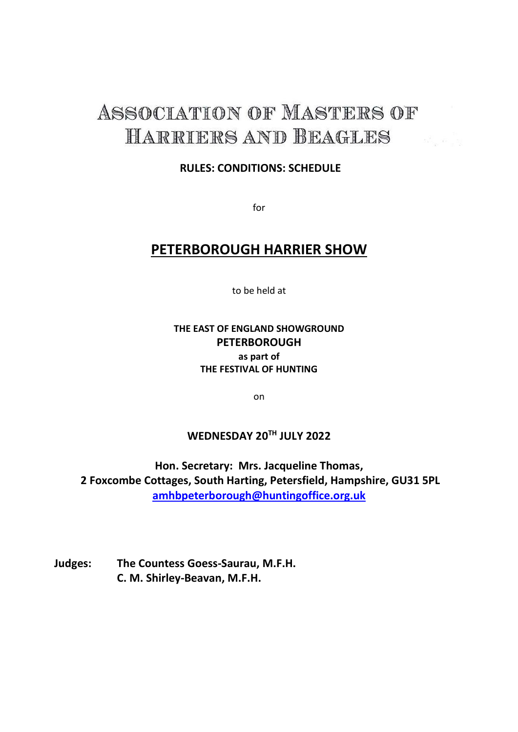# ASSOCIATION OF MASTERS OF HARRIERS AND BEAGLES

#### **RULES: CONDITIONS: SCHEDULE**

for

### **PETERBOROUGH HARRIER SHOW**

to be held at

#### **THE EAST OF ENGLAND SHOWGROUND PETERBOROUGH as part of THE FESTIVAL OF HUNTING**

on

### **WEDNESDAY 20TH JULY 2022**

**Hon. Secretary: Mrs. Jacqueline Thomas, 2 Foxcombe Cottages, South Harting, Petersfield, Hampshire, GU31 5PL [amhbpeterborough@huntingoffice.org.uk](mailto:amhbpeterborough@huntingoffice.org.uk)**

**Judges: The Countess Goess-Saurau, M.F.H. C. M. Shirley-Beavan, M.F.H.**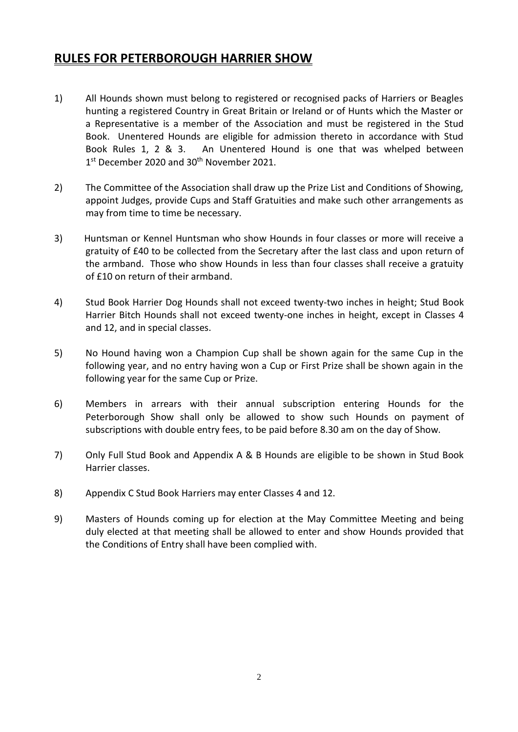#### **RULES FOR PETERBOROUGH HARRIER SHOW**

- 1) All Hounds shown must belong to registered or recognised packs of Harriers or Beagles hunting a registered Country in Great Britain or Ireland or of Hunts which the Master or a Representative is a member of the Association and must be registered in the Stud Book. Unentered Hounds are eligible for admission thereto in accordance with Stud Book Rules 1, 2 & 3. An Unentered Hound is one that was whelped between 1<sup>st</sup> December 2020 and 30<sup>th</sup> November 2021.
- 2) The Committee of the Association shall draw up the Prize List and Conditions of Showing, appoint Judges, provide Cups and Staff Gratuities and make such other arrangements as may from time to time be necessary.
- 3) Huntsman or Kennel Huntsman who show Hounds in four classes or more will receive a gratuity of £40 to be collected from the Secretary after the last class and upon return of the armband. Those who show Hounds in less than four classes shall receive a gratuity of £10 on return of their armband.
- 4) Stud Book Harrier Dog Hounds shall not exceed twenty-two inches in height; Stud Book Harrier Bitch Hounds shall not exceed twenty-one inches in height, except in Classes 4 and 12, and in special classes.
- 5) No Hound having won a Champion Cup shall be shown again for the same Cup in the following year, and no entry having won a Cup or First Prize shall be shown again in the following year for the same Cup or Prize.
- 6) Members in arrears with their annual subscription entering Hounds for the Peterborough Show shall only be allowed to show such Hounds on payment of subscriptions with double entry fees, to be paid before 8.30 am on the day of Show.
- 7) Only Full Stud Book and Appendix A & B Hounds are eligible to be shown in Stud Book Harrier classes.
- 8) Appendix C Stud Book Harriers may enter Classes 4 and 12.
- 9) Masters of Hounds coming up for election at the May Committee Meeting and being duly elected at that meeting shall be allowed to enter and show Hounds provided that the Conditions of Entry shall have been complied with.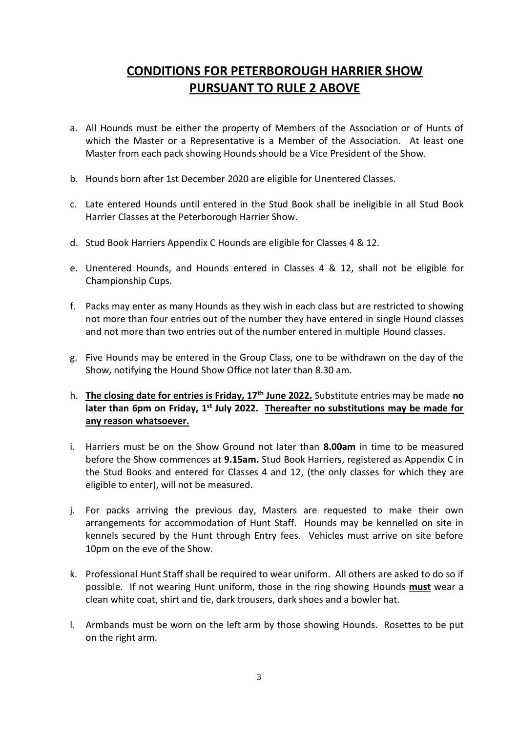## **CONDITIONS FOR PETERBOROUGH HARRIER SHOW PURSUANT TO RULE 2 ABOVE**

- a. All Hounds must be either the property of Members of the Association or of Hunts of which the Master or a Representative is a Member of the Association. At least one Master from each pack showing Hounds should be a Vice President of the Show.
- b. Hounds born after 1st December 2020 are eligible for Unentered Classes.
- c. Late entered Hounds until entered in the Stud Book shall be ineligible in all Stud Book Harrier Classes at the Peterborough Harrier Show.
- d. Stud Book Harriers Appendix C Hounds are eligible for Classes 4 & 12.
- e. Unentered Hounds, and Hounds entered in Classes 4 & 12, shall not be eligible for Championship Cups.
- f. Packs may enter as many Hounds as they wish in each class but are restricted to showing not more than four entries out of the number they have entered in single Hound classes and not more than two entries out of the number entered in multiple Hound classes.
- g. Five Hounds may be entered in the Group Class, one to be withdrawn on the day of the Show, notifying the Hound Show Office not later than 8.30 am.
- h. **The closing date for entries is Friday, 17th June 2022.** Substitute entries may be made **no**  later than 6pm on Friday, 1<sup>st</sup> July 2022. Thereafter no substitutions may be made for **any reason whatsoever.**
- i. Harriers must be on the Show Ground not later than **8.00am** in time to be measured before the Show commences at **9.15am.** Stud Book Harriers, registered as Appendix C in the Stud Books and entered for Classes 4 and 12, (the only classes for which they are eligible to enter), will not be measured.
- j. For packs arriving the previous day, Masters are requested to make their own arrangements for accommodation of Hunt Staff. Hounds may be kennelled on site in kennels secured by the Hunt through Entry fees. Vehicles must arrive on site before 10pm on the eve of the Show.
- k. Professional Hunt Staff shall be required to wear uniform. All others are asked to do so if possible. If not wearing Hunt uniform, those in the ring showing Hounds **must** wear a clean white coat, shirt and tie, dark trousers, dark shoes and a bowler hat.
- l. Armbands must be worn on the left arm by those showing Hounds. Rosettes to be put on the right arm.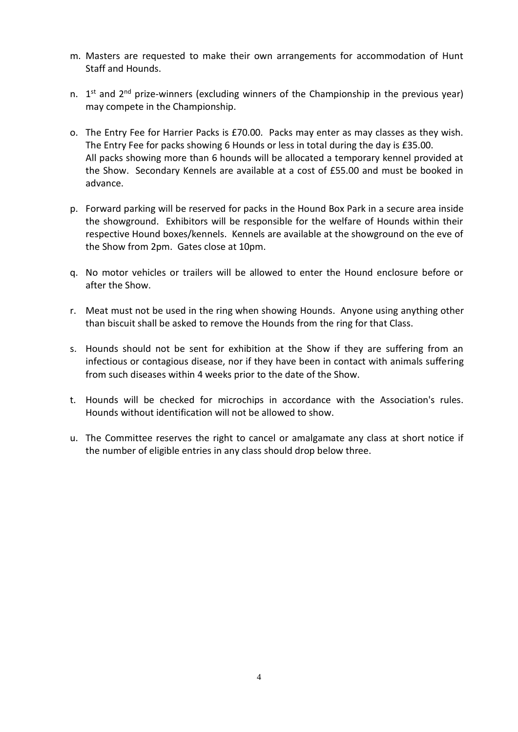- m. Masters are requested to make their own arrangements for accommodation of Hunt Staff and Hounds.
- n. 1<sup>st</sup> and 2<sup>nd</sup> prize-winners (excluding winners of the Championship in the previous year) may compete in the Championship.
- o. The Entry Fee for Harrier Packs is £70.00. Packs may enter as may classes as they wish. The Entry Fee for packs showing 6 Hounds or less in total during the day is £35.00. All packs showing more than 6 hounds will be allocated a temporary kennel provided at the Show. Secondary Kennels are available at a cost of £55.00 and must be booked in advance.
- p. Forward parking will be reserved for packs in the Hound Box Park in a secure area inside the showground. Exhibitors will be responsible for the welfare of Hounds within their respective Hound boxes/kennels. Kennels are available at the showground on the eve of the Show from 2pm. Gates close at 10pm.
- q. No motor vehicles or trailers will be allowed to enter the Hound enclosure before or after the Show.
- r. Meat must not be used in the ring when showing Hounds. Anyone using anything other than biscuit shall be asked to remove the Hounds from the ring for that Class.
- s. Hounds should not be sent for exhibition at the Show if they are suffering from an infectious or contagious disease, nor if they have been in contact with animals suffering from such diseases within 4 weeks prior to the date of the Show.
- t. Hounds will be checked for microchips in accordance with the Association's rules. Hounds without identification will not be allowed to show.
- u. The Committee reserves the right to cancel or amalgamate any class at short notice if the number of eligible entries in any class should drop below three.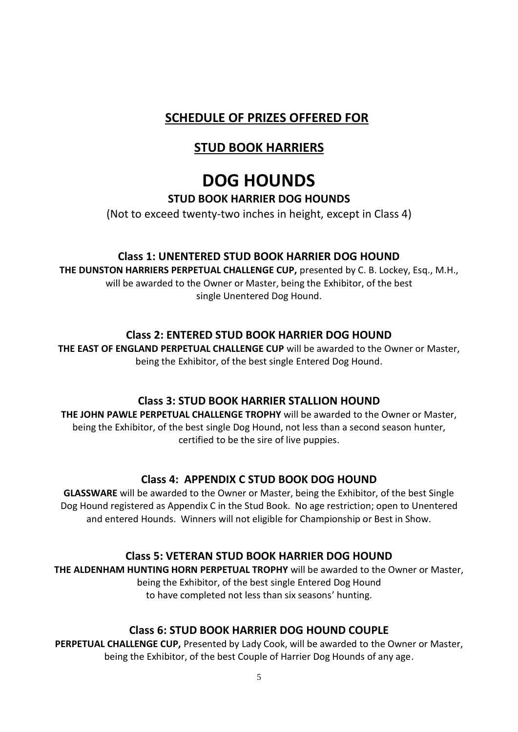## **SCHEDULE OF PRIZES OFFERED FOR**

## **STUD BOOK HARRIERS**

## **DOG HOUNDS**

#### **STUD BOOK HARRIER DOG HOUNDS**

(Not to exceed twenty-two inches in height, except in Class 4)

#### **Class 1: UNENTERED STUD BOOK HARRIER DOG HOUND**

**THE DUNSTON HARRIERS PERPETUAL CHALLENGE CUP,** presented by C. B. Lockey, Esq., M.H., will be awarded to the Owner or Master, being the Exhibitor, of the best single Unentered Dog Hound.

#### **Class 2: ENTERED STUD BOOK HARRIER DOG HOUND**

**THE EAST OF ENGLAND PERPETUAL CHALLENGE CUP** will be awarded to the Owner or Master, being the Exhibitor, of the best single Entered Dog Hound.

#### **Class 3: STUD BOOK HARRIER STALLION HOUND**

**THE JOHN PAWLE PERPETUAL CHALLENGE TROPHY** will be awarded to the Owner or Master, being the Exhibitor, of the best single Dog Hound, not less than a second season hunter, certified to be the sire of live puppies.

#### **Class 4: APPENDIX C STUD BOOK DOG HOUND**

**GLASSWARE** will be awarded to the Owner or Master, being the Exhibitor, of the best Single Dog Hound registered as Appendix C in the Stud Book. No age restriction; open to Unentered and entered Hounds. Winners will not eligible for Championship or Best in Show.

#### **Class 5: VETERAN STUD BOOK HARRIER DOG HOUND**

**THE ALDENHAM HUNTING HORN PERPETUAL TROPHY** will be awarded to the Owner or Master, being the Exhibitor, of the best single Entered Dog Hound to have completed not less than six seasons' hunting.

#### **Class 6: STUD BOOK HARRIER DOG HOUND COUPLE**

**PERPETUAL CHALLENGE CUP,** Presented by Lady Cook, will be awarded to the Owner or Master, being the Exhibitor, of the best Couple of Harrier Dog Hounds of any age.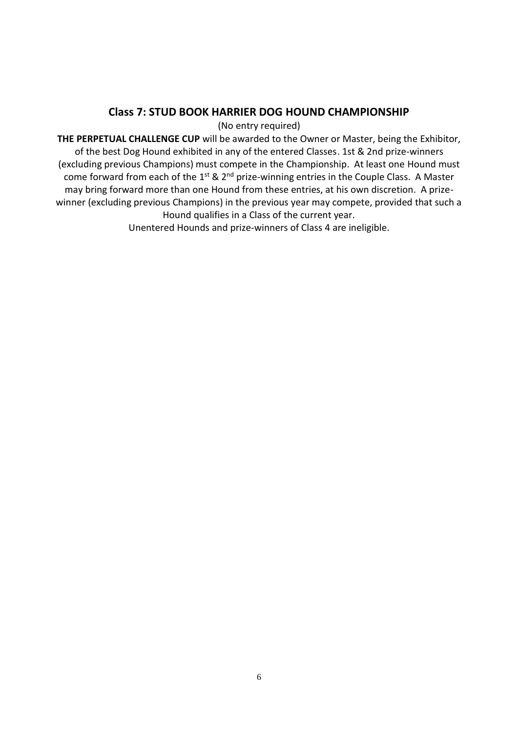#### **Class 7: STUD BOOK HARRIER DOG HOUND CHAMPIONSHIP**

(No entry required)

**THE PERPETUAL CHALLENGE CUP** will be awarded to the Owner or Master, being the Exhibitor, of the best Dog Hound exhibited in any of the entered Classes. 1st & 2nd prize-winners (excluding previous Champions) must compete in the Championship. At least one Hound must come forward from each of the  $1^{st}$  &  $2^{nd}$  prize-winning entries in the Couple Class. A Master may bring forward more than one Hound from these entries, at his own discretion. A prizewinner (excluding previous Champions) in the previous year may compete, provided that such a Hound qualifies in a Class of the current year.

Unentered Hounds and prize-winners of Class 4 are ineligible.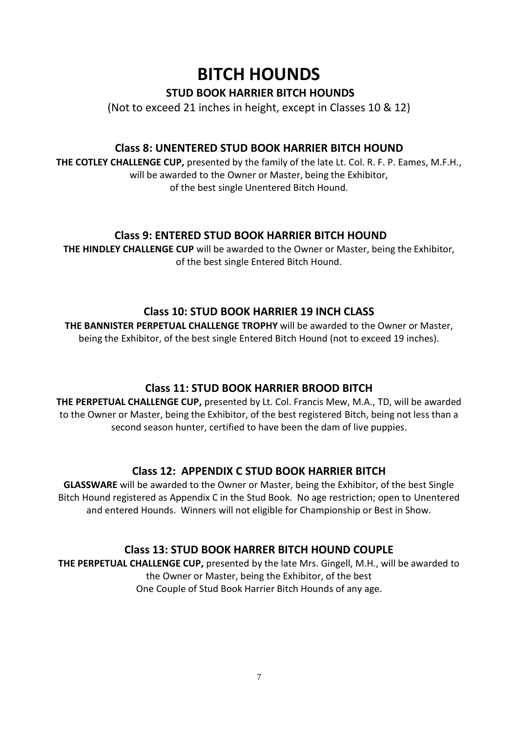## **BITCH HOUNDS**

#### **STUD BOOK HARRIER BITCH HOUNDS**

(Not to exceed 21 inches in height, except in Classes 10 & 12)

#### **Class 8: UNENTERED STUD BOOK HARRIER BITCH HOUND**

**THE COTLEY CHALLENGE CUP,** presented by the family of the late Lt. Col. R. F. P. Eames, M.F.H., will be awarded to the Owner or Master, being the Exhibitor, of the best single Unentered Bitch Hound.

#### **Class 9: ENTERED STUD BOOK HARRIER BITCH HOUND**

**THE HINDLEY CHALLENGE CUP** will be awarded to the Owner or Master, being the Exhibitor, of the best single Entered Bitch Hound.

#### **Class 10: STUD BOOK HARRIER 19 INCH CLASS**

**THE BANNISTER PERPETUAL CHALLENGE TROPHY** will be awarded to the Owner or Master, being the Exhibitor, of the best single Entered Bitch Hound (not to exceed 19 inches).

#### **Class 11: STUD BOOK HARRIER BROOD BITCH**

**THE PERPETUAL CHALLENGE CUP,** presented by Lt. Col. Francis Mew, M.A., TD, will be awarded to the Owner or Master, being the Exhibitor, of the best registered Bitch, being not less than a second season hunter, certified to have been the dam of live puppies.

#### **Class 12: APPENDIX C STUD BOOK HARRIER BITCH**

**GLASSWARE** will be awarded to the Owner or Master, being the Exhibitor, of the best Single Bitch Hound registered as Appendix C in the Stud Book. No age restriction; open to Unentered and entered Hounds. Winners will not eligible for Championship or Best in Show.

#### **Class 13: STUD BOOK HARRER BITCH HOUND COUPLE**

**THE PERPETUAL CHALLENGE CUP,** presented by the late Mrs. Gingell, M.H., will be awarded to the Owner or Master, being the Exhibitor, of the best One Couple of Stud Book Harrier Bitch Hounds of any age.